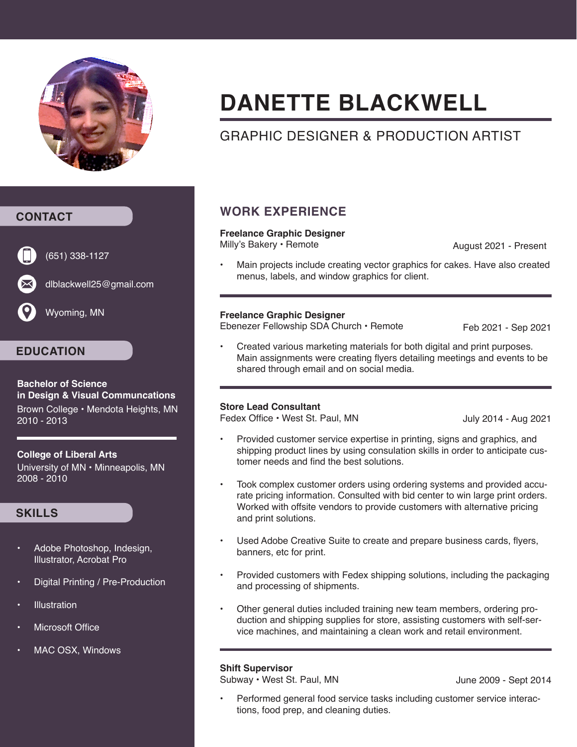

# **DANETTE BLACKWELL**

# GRAPHIC DESIGNER & PRODUCTION ARTIST

#### **CONTACT**



(651) 338-1127

dlblackwell25@gmail.com

Wyoming, MN

### **EDUCATION**

**Bachelor of Science in Design & Visual Communcations** Brown College • Mendota Heights, MN 2010 - 2013

#### **College of Liberal Arts**

University of MN • Minneapolis, MN 2008 - 2010

#### **SKILLS**

- Adobe Photoshop, Indesign, Illustrator, Acrobat Pro
- Digital Printing / Pre-Production
- **Illustration**
- **Microsoft Office**
- MAC OSX, Windows

### **WORK EXPERIENCE**

#### **Freelance Graphic Designer**

Milly's Bakery • Remote

August 2021 - Present

• Main projects include creating vector graphics for cakes. Have also created menus, labels, and window graphics for client.

#### **Freelance Graphic Designer**

Ebenezer Fellowship SDA Church • Remote

Feb 2021 - Sep 2021

• Created various marketing materials for both digital and print purposes. Main assignments were creating flyers detailing meetings and events to be shared through email and on social media.

#### **Store Lead Consultant**

Fedex Office • West St. Paul, MN

July 2014 - Aug 2021

- Provided customer service expertise in printing, signs and graphics, and shipping product lines by using consulation skills in order to anticipate customer needs and find the best solutions.
- Took complex customer orders using ordering systems and provided accurate pricing information. Consulted with bid center to win large print orders. Worked with offsite vendors to provide customers with alternative pricing and print solutions.
- Used Adobe Creative Suite to create and prepare business cards, flyers, banners, etc for print.
- Provided customers with Fedex shipping solutions, including the packaging and processing of shipments.
- Other general duties included training new team members, ordering production and shipping supplies for store, assisting customers with self-service machines, and maintaining a clean work and retail environment.

#### **Shift Supervisor**

Subway • West St. Paul, MN

June 2009 - Sept 2014

• Performed general food service tasks including customer service interactions, food prep, and cleaning duties.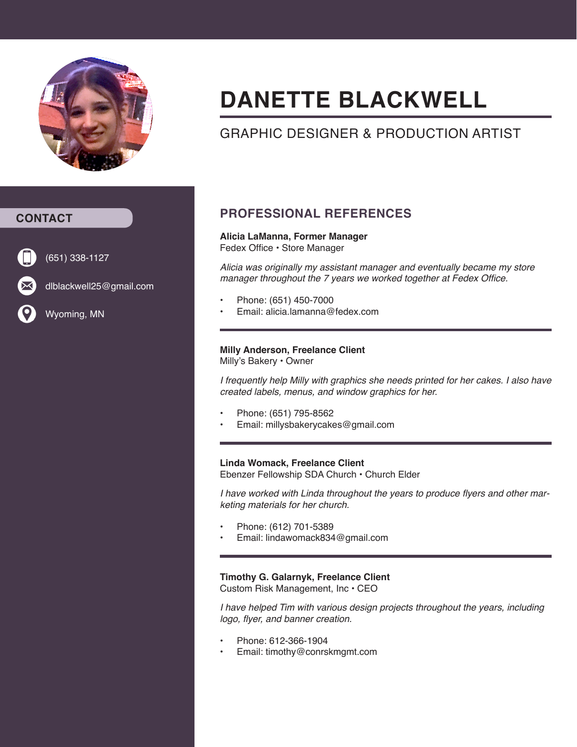

# **DANETTE BLACKWELL**

# GRAPHIC DESIGNER & PRODUCTION ARTIST



(651) 338-1127

dlblackwell25@gmail.com

Wyoming, MN

## **PROFESSIONAL REFERENCES**

#### **Alicia LaManna, Former Manager** Fedex Office • Store Manager

*Alicia was originally my assistant manager and eventually became my store*  manager throughout the 7 years we worked together at Fedex Office.

- Phone: (651) 450-7000
- Email: alicia.lamanna@fedex.com

#### **Milly Anderson, Freelance Client**

Milly's Bakery • Owner

I frequently help Milly with graphics she needs printed for her cakes. I also have created labels, menus, and window graphics for her.

- Phone: (651) 795-8562
- Email: millysbakerycakes@gmail.com

#### **Linda Womack, Freelance Client**

Ebenzer Fellowship SDA Church • Church Elder

I have worked with Linda throughout the years to produce flyers and other marketing materials for her church.

- Phone: (612) 701-5389
- Email: lindawomack834@gmail.com

#### **Timothy G. Galarnyk, Freelance Client**

Custom Risk Management, Inc • CEO

*I have helped Tim with various design projects throughout the years, including* logo, flyer, and banner creation.

- Phone: 612-366-1904
- Email: timothy@conrskmgmt.com